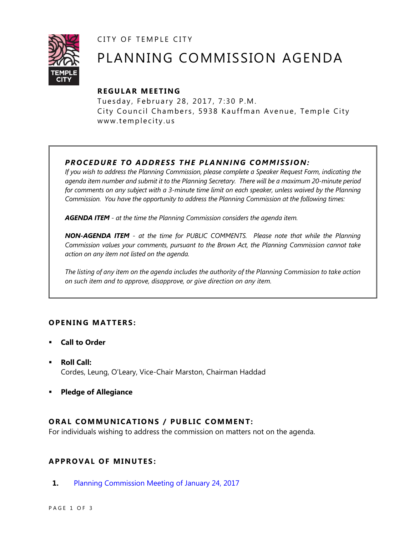CITY OF TEMPLE CITY



# PLANNING COMMISSION AGENDA

# **R EGULA R MEE TING**

Tuesday, February 28, 2017, 7:30 P.M. City Council Chambers, 5938 Kauffman Avenue, Temple City www.templecity.us

# **PROCEDURE TO ADDRESS THE PLANNING COMMISSION:**

*If you wish to address the Planning Commission, please complete a Speaker Request Form, indicating the agenda item number and submit it to the Planning Secretary. There will be a maximum 20-minute period*  for comments on any subject with a 3-minute time limit on each speaker, unless waived by the Planning *Commission. You have the opportunity to address the Planning Commission at the following times:*

*AGENDA ITEM - at the time the Planning Commission considers the agenda item.*

*NON-AGENDA ITEM - at the time for PUBLIC COMMENTS. Please note that while the Planning Commission values your comments, pursuant to the Brown Act, the Planning Commission cannot take action on any item not listed on the agenda.*

*The listing of any item on the agenda includes the authority of the Planning Commission to take action on such item and to approve, disapprove, or give direction on any item.*

# **OPENING MATTERS:**

- **Call to Order**
- **Roll Call:** Cordes, Leung, O'Leary, Vice-Chair Marston, Chairman Haddad
- **Pledge of Allegiance**

# **ORAL COMMUNICATIONS / PUBLIC COMMENT:**

For individuals wishing to address the commission on matters not on the agenda.

# **APPRO VAL OF MINUTES :**

**1.** [Planning Commission Meeting of January 24, 2017](https://ca-templecity.civicplus.com/DocumentCenter/View/7786)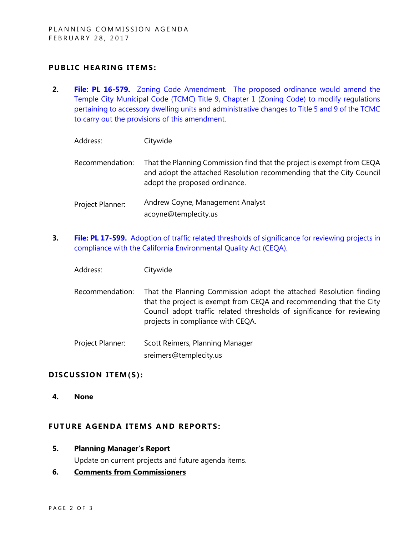## **PUBLIC HEARING ITEMS:**

- **2. File: PL 16-579.** [Zoning Code Amendment. The proposed ordinance would amend the](https://ca-templecity.civicplus.com/DocumentCenter/View/7784)  Temple City Municipal Code (TCMC) [Title 9, Chapter 1 \(Zoning Code\) to modify regulations](https://ca-templecity.civicplus.com/DocumentCenter/View/7784)  pertaining to accessory dwelling units [and administrative changes to Title 5 and 9 of the TCMC](https://ca-templecity.civicplus.com/DocumentCenter/View/7784)  [to carry out the provisions of this amendment.](https://ca-templecity.civicplus.com/DocumentCenter/View/7784)
	- Address: Citywide Recommendation: That the Planning Commission find that the project is exempt from CEQA and adopt the attached Resolution recommending that the City Council adopt the proposed ordinance. Project Planner: Andrew Coyne, Management Analyst acoyne@templecity.us
- **3. File: PL 17-599.** [Adoption of traffic related thresholds of significance for reviewing projects in](https://ca-templecity.civicplus.com/DocumentCenter/View/7785)  [compliance with the California Environmental Quality Act](https://ca-templecity.civicplus.com/DocumentCenter/View/7785) (CEQA).
	- Address: Citywide
	- Recommendation: That the Planning Commission adopt the attached Resolution finding that the project is exempt from CEQA and recommending that the City Council adopt traffic related thresholds of significance for reviewing projects in compliance with CEQA.
	- Project Planner: Scott Reimers, Planning Manager sreimers@templecity.us

### DISCUSSION ITEM(S):

**4. None**

### **FUTURE AGENDA ITEMS AND REPORTS:**

**5. Planning Manager's Report**

Update on current projects and future agenda items.

### **6. Comments from Commissioners**